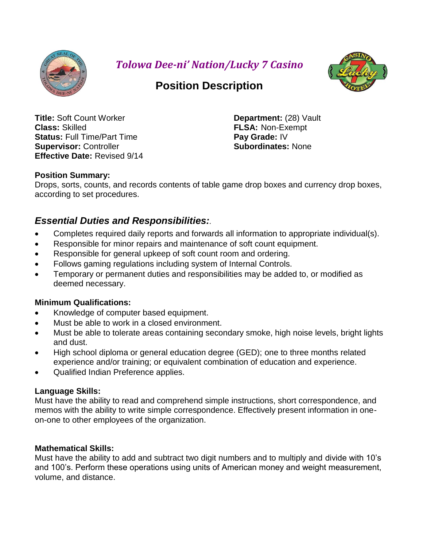

*Tolowa Dee-ni' Nation/Lucky 7 Casino*



# **Position Description**

**Title:** Soft Count Worker **Department:** (28) Vault **Class:** Skilled **FLSA:** Non-Exempt **Status:** Full Time/Part Time **Pay Grade:** IV **Supervisor:** Controller **Subordinates:** None **Effective Date:** Revised 9/14

# **Position Summary:**

Drops, sorts, counts, and records contents of table game drop boxes and currency drop boxes, according to set procedures.

# *Essential Duties and Responsibilities:.*

- Completes required daily reports and forwards all information to appropriate individual(s).
- Responsible for minor repairs and maintenance of soft count equipment.
- Responsible for general upkeep of soft count room and ordering.
- Follows gaming regulations including system of Internal Controls.
- Temporary or permanent duties and responsibilities may be added to, or modified as deemed necessary.

# **Minimum Qualifications:**

- Knowledge of computer based equipment.
- Must be able to work in a closed environment.
- Must be able to tolerate areas containing secondary smoke, high noise levels, bright lights and dust.
- High school diploma or general education degree (GED); one to three months related experience and/or training; or equivalent combination of education and experience.
- Qualified Indian Preference applies.

# **Language Skills:**

Must have the ability to read and comprehend simple instructions, short correspondence, and memos with the ability to write simple correspondence. Effectively present information in oneon-one to other employees of the organization.

# **Mathematical Skills:**

Must have the ability to add and subtract two digit numbers and to multiply and divide with 10's and 100's. Perform these operations using units of American money and weight measurement, volume, and distance.